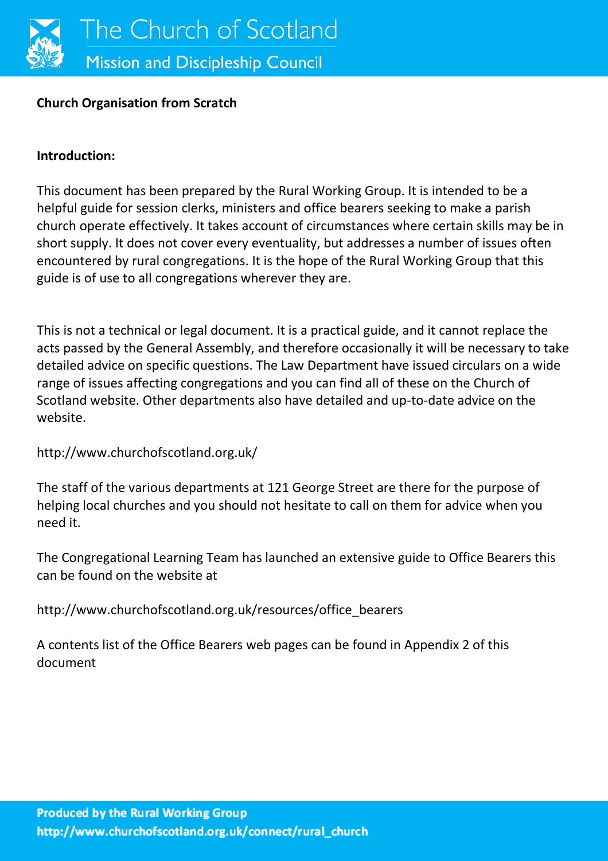

#### **Church Organisation from Scratch**

#### **Introduction:**

This document has been prepared by the Rural Working Group. It is intended to be a helpful guide for session clerks, ministers and office bearers seeking to make a parish church operate effectively. It takes account of circumstances where certain skills may be in short supply. It does not cover every eventuality, but addresses a number of issues often encountered by rural congregations. It is the hope of the Rural Working Group that this guide is of use to all congregations wherever they are.

This is not a technical or legal document. It is a practical guide, and it cannot replace the acts passed by the General Assembly, and therefore occasionally it will be necessary to take detailed advice on specific questions. The Law Department have issued circulars on a wide range of issues affecting congregations and you can find all of these on the Church of Scotland website. Other departments also have detailed and up-to-date advice on the website.

http://www.churchofscotland.org.uk/

The staff of the various departments at 121 George Street are there for the purpose of helping local churches and you should not hesitate to call on them for advice when you need it.

The Congregational Learning Team has launched an extensive guide to Office Bearers this can be found on the website at

http://www.churchofscotland.org.uk/resources/office\_bearers

A contents list of the Office Bearers web pages can be found in Appendix 2 of this document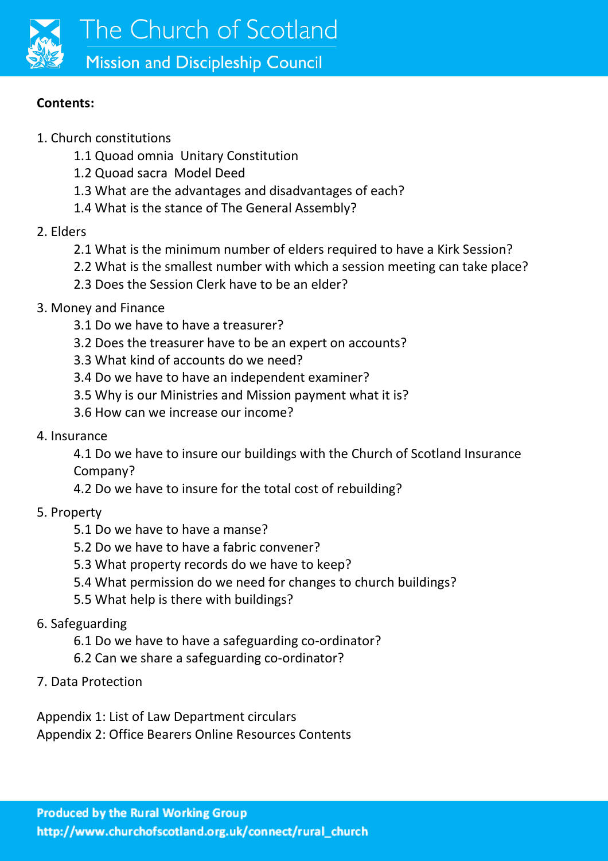

#### **Contents:**

- 1. Church constitutions
	- 1.1 Quoad omnia Unitary Constitution
	- 1.2 Quoad sacra Model Deed
	- 1.3 What are the advantages and disadvantages of each?
	- 1.4 What is the stance of The General Assembly?
- 2. Elders
	- 2.1 What is the minimum number of elders required to have a Kirk Session?
	- 2.2 What is the smallest number with which a session meeting can take place?
	- 2.3 Does the Session Clerk have to be an elder?
- 3. Money and Finance
	- 3.1 Do we have to have a treasurer?
	- 3.2 Does the treasurer have to be an expert on accounts?
	- 3.3 What kind of accounts do we need?
	- 3.4 Do we have to have an independent examiner?
	- 3.5 Why is our Ministries and Mission payment what it is?
	- 3.6 How can we increase our income?
- 4. Insurance

4.1 Do we have to insure our buildings with the Church of Scotland Insurance Company?

- 4.2 Do we have to insure for the total cost of rebuilding?
- 5. Property
	- 5.1 Do we have to have a manse?
	- 5.2 Do we have to have a fabric convener?
	- 5.3 What property records do we have to keep?
	- 5.4 What permission do we need for changes to church buildings?
	- 5.5 What help is there with buildings?
- 6. Safeguarding
	- 6.1 Do we have to have a safeguarding co-ordinator?
	- 6.2 Can we share a safeguarding co-ordinator?
- 7. Data Protection

Appendix 1: List of Law Department circulars Appendix 2: Office Bearers Online Resources Contents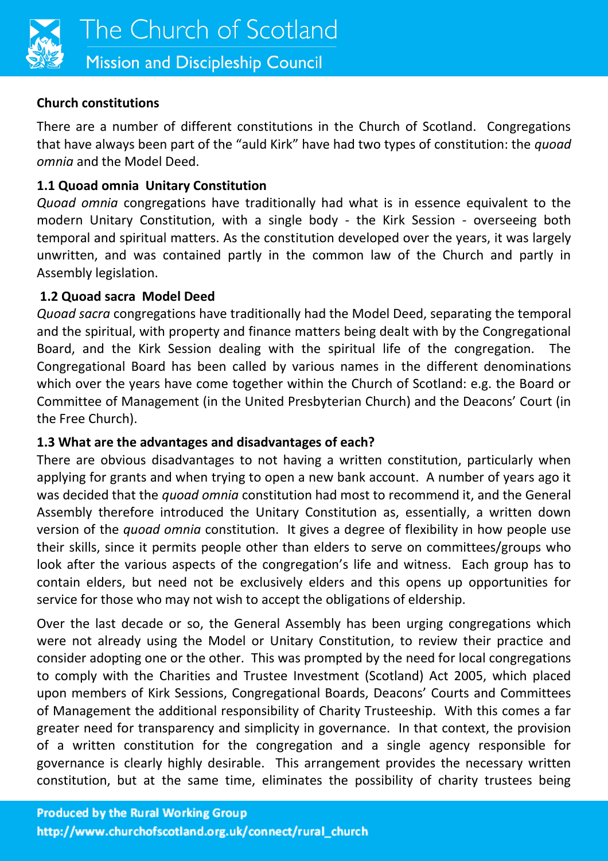

### **Church constitutions**

There are a number of different constitutions in the Church of Scotland. Congregations that have always been part of the "auld Kirk" have had two types of constitution: the *quoad omnia* and the Model Deed.

## **1.1 Quoad omnia Unitary Constitution**

*Quoad omnia* congregations have traditionally had what is in essence equivalent to the modern Unitary Constitution, with a single body - the Kirk Session - overseeing both temporal and spiritual matters. As the constitution developed over the years, it was largely unwritten, and was contained partly in the common law of the Church and partly in Assembly legislation.

## **1.2 Quoad sacra Model Deed**

*Quoad sacra* congregations have traditionally had the Model Deed, separating the temporal and the spiritual, with property and finance matters being dealt with by the Congregational Board, and the Kirk Session dealing with the spiritual life of the congregation. The Congregational Board has been called by various names in the different denominations which over the years have come together within the Church of Scotland: e.g. the Board or Committee of Management (in the United Presbyterian Church) and the Deacons' Court (in the Free Church).

## **1.3 What are the advantages and disadvantages of each?**

There are obvious disadvantages to not having a written constitution, particularly when applying for grants and when trying to open a new bank account. A number of years ago it was decided that the *quoad omnia* constitution had most to recommend it, and the General Assembly therefore introduced the Unitary Constitution as, essentially, a written down version of the *quoad omnia* constitution. It gives a degree of flexibility in how people use their skills, since it permits people other than elders to serve on committees/groups who look after the various aspects of the congregation's life and witness. Each group has to contain elders, but need not be exclusively elders and this opens up opportunities for service for those who may not wish to accept the obligations of eldership.

Over the last decade or so, the General Assembly has been urging congregations which were not already using the Model or Unitary Constitution, to review their practice and consider adopting one or the other. This was prompted by the need for local congregations to comply with the Charities and Trustee Investment (Scotland) Act 2005, which placed upon members of Kirk Sessions, Congregational Boards, Deacons' Courts and Committees of Management the additional responsibility of Charity Trusteeship. With this comes a far greater need for transparency and simplicity in governance. In that context, the provision of a written constitution for the congregation and a single agency responsible for governance is clearly highly desirable. This arrangement provides the necessary written constitution, but at the same time, eliminates the possibility of charity trustees being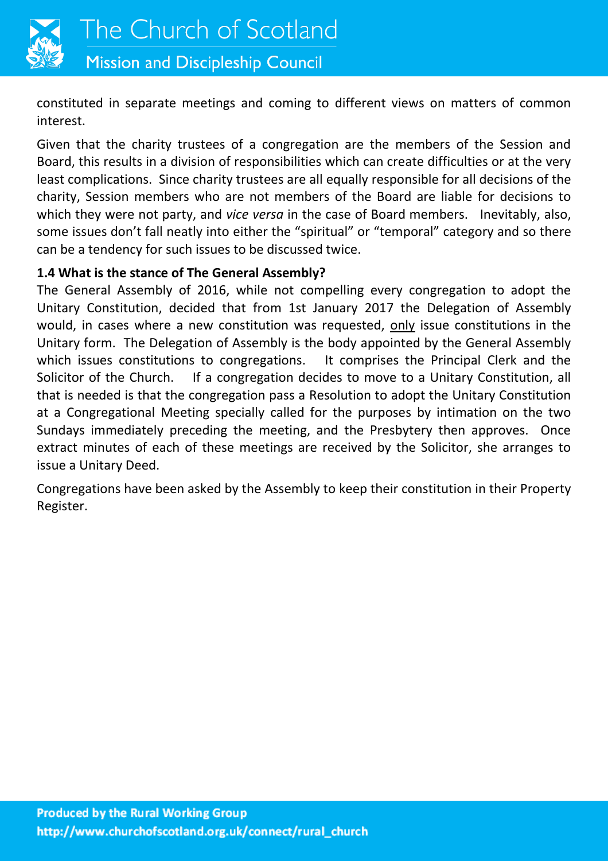

**Mission and Discipleship Council** 

constituted in separate meetings and coming to different views on matters of common interest.

Given that the charity trustees of a congregation are the members of the Session and Board, this results in a division of responsibilities which can create difficulties or at the very least complications. Since charity trustees are all equally responsible for all decisions of the charity, Session members who are not members of the Board are liable for decisions to which they were not party, and *vice versa* in the case of Board members. Inevitably, also, some issues don't fall neatly into either the "spiritual" or "temporal" category and so there can be a tendency for such issues to be discussed twice.

### **1.4 What is the stance of The General Assembly?**

The General Assembly of 2016, while not compelling every congregation to adopt the Unitary Constitution, decided that from 1st January 2017 the Delegation of Assembly would, in cases where a new constitution was requested, only issue constitutions in the Unitary form. The Delegation of Assembly is the body appointed by the General Assembly which issues constitutions to congregations. It comprises the Principal Clerk and the Solicitor of the Church. If a congregation decides to move to a Unitary Constitution, all that is needed is that the congregation pass a Resolution to adopt the Unitary Constitution at a Congregational Meeting specially called for the purposes by intimation on the two Sundays immediately preceding the meeting, and the Presbytery then approves. Once extract minutes of each of these meetings are received by the Solicitor, she arranges to issue a Unitary Deed.

Congregations have been asked by the Assembly to keep their constitution in their Property Register.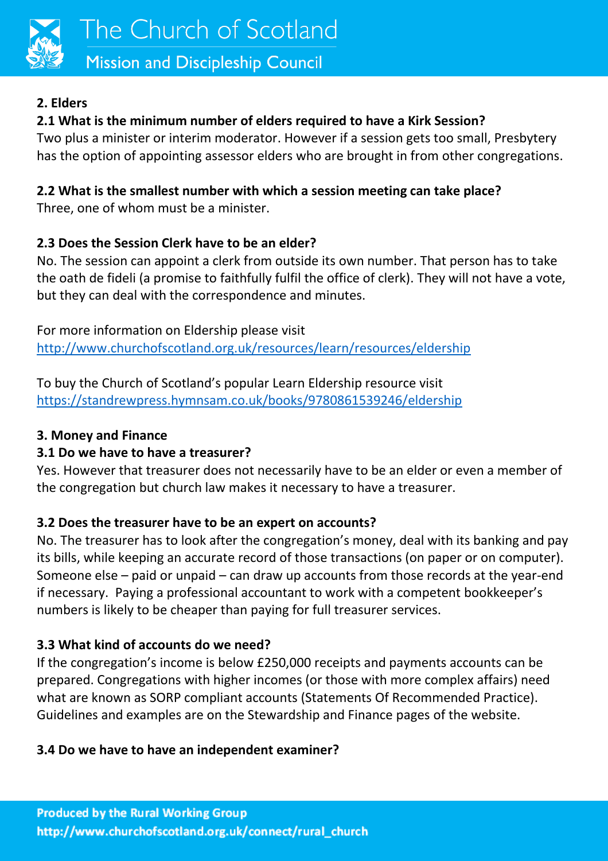

# **Mission and Discipleship Council**

# **2. Elders**

# **2.1 What is the minimum number of elders required to have a Kirk Session?**

Two plus a minister or interim moderator. However if a session gets too small, Presbytery has the option of appointing assessor elders who are brought in from other congregations.

# **2.2 What is the smallest number with which a session meeting can take place?**

Three, one of whom must be a minister.

# **2.3 Does the Session Clerk have to be an elder?**

No. The session can appoint a clerk from outside its own number. That person has to take the oath de fideli (a promise to faithfully fulfil the office of clerk). They will not have a vote, but they can deal with the correspondence and minutes.

For more information on Eldership please visit <http://www.churchofscotland.org.uk/resources/learn/resources/eldership>

To buy the Church of Scotland's popular Learn Eldership resource visit <https://standrewpress.hymnsam.co.uk/books/9780861539246/eldership>

# **3. Money and Finance**

# **3.1 Do we have to have a treasurer?**

Yes. However that treasurer does not necessarily have to be an elder or even a member of the congregation but church law makes it necessary to have a treasurer.

# **3.2 Does the treasurer have to be an expert on accounts?**

No. The treasurer has to look after the congregation's money, deal with its banking and pay its bills, while keeping an accurate record of those transactions (on paper or on computer). Someone else – paid or unpaid – can draw up accounts from those records at the year-end if necessary. Paying a professional accountant to work with a competent bookkeeper's numbers is likely to be cheaper than paying for full treasurer services.

# **3.3 What kind of accounts do we need?**

If the congregation's income is below £250,000 receipts and payments accounts can be prepared. Congregations with higher incomes (or those with more complex affairs) need what are known as SORP compliant accounts (Statements Of Recommended Practice). Guidelines and examples are on the Stewardship and Finance pages of the website.

# **3.4 Do we have to have an independent examiner?**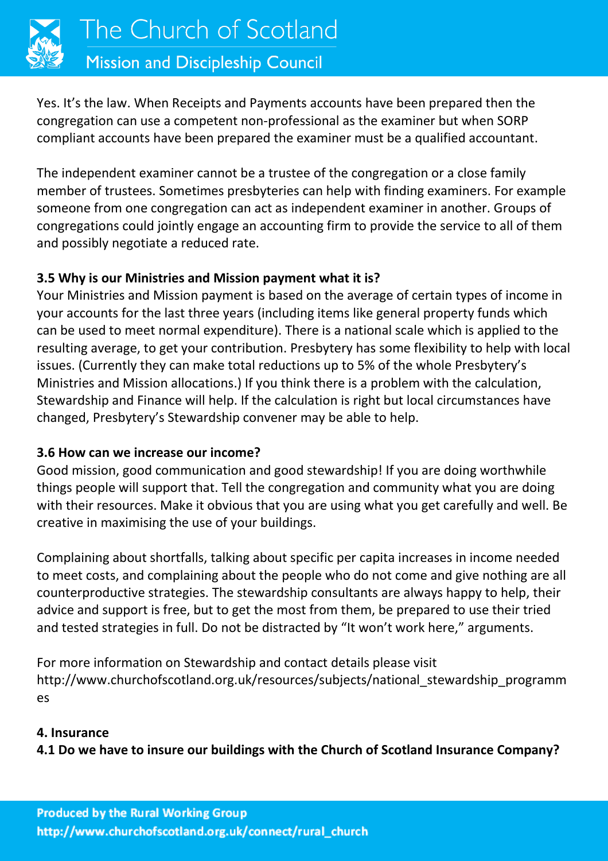

Yes. It's the law. When Receipts and Payments accounts have been prepared then the congregation can use a competent non-professional as the examiner but when SORP compliant accounts have been prepared the examiner must be a qualified accountant.

The independent examiner cannot be a trustee of the congregation or a close family member of trustees. Sometimes presbyteries can help with finding examiners. For example someone from one congregation can act as independent examiner in another. Groups of congregations could jointly engage an accounting firm to provide the service to all of them and possibly negotiate a reduced rate.

## **3.5 Why is our Ministries and Mission payment what it is?**

Your Ministries and Mission payment is based on the average of certain types of income in your accounts for the last three years (including items like general property funds which can be used to meet normal expenditure). There is a national scale which is applied to the resulting average, to get your contribution. Presbytery has some flexibility to help with local issues. (Currently they can make total reductions up to 5% of the whole Presbytery's Ministries and Mission allocations.) If you think there is a problem with the calculation, Stewardship and Finance will help. If the calculation is right but local circumstances have changed, Presbytery's Stewardship convener may be able to help.

## **3.6 How can we increase our income?**

Good mission, good communication and good stewardship! If you are doing worthwhile things people will support that. Tell the congregation and community what you are doing with their resources. Make it obvious that you are using what you get carefully and well. Be creative in maximising the use of your buildings.

Complaining about shortfalls, talking about specific per capita increases in income needed to meet costs, and complaining about the people who do not come and give nothing are all counterproductive strategies. The stewardship consultants are always happy to help, their advice and support is free, but to get the most from them, be prepared to use their tried and tested strategies in full. Do not be distracted by "It won't work here," arguments.

For more information on Stewardship and contact details please visit http://www.churchofscotland.org.uk/resources/subjects/national\_stewardship\_programm es

#### **4. Insurance**

**4.1 Do we have to insure our buildings with the Church of Scotland Insurance Company?**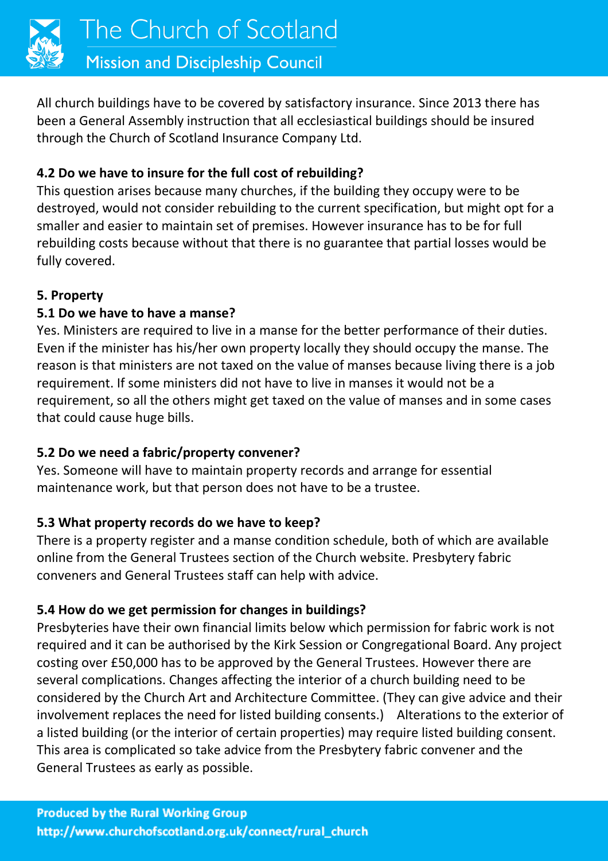

All church buildings have to be covered by satisfactory insurance. Since 2013 there has been a General Assembly instruction that all ecclesiastical buildings should be insured through the Church of Scotland Insurance Company Ltd.

## **4.2 Do we have to insure for the full cost of rebuilding?**

This question arises because many churches, if the building they occupy were to be destroyed, would not consider rebuilding to the current specification, but might opt for a smaller and easier to maintain set of premises. However insurance has to be for full rebuilding costs because without that there is no guarantee that partial losses would be fully covered.

## **5. Property**

## **5.1 Do we have to have a manse?**

Yes. Ministers are required to live in a manse for the better performance of their duties. Even if the minister has his/her own property locally they should occupy the manse. The reason is that ministers are not taxed on the value of manses because living there is a job requirement. If some ministers did not have to live in manses it would not be a requirement, so all the others might get taxed on the value of manses and in some cases that could cause huge bills.

## **5.2 Do we need a fabric/property convener?**

Yes. Someone will have to maintain property records and arrange for essential maintenance work, but that person does not have to be a trustee.

## **5.3 What property records do we have to keep?**

There is a property register and a manse condition schedule, both of which are available online from the General Trustees section of the Church website. Presbytery fabric conveners and General Trustees staff can help with advice.

# **5.4 How do we get permission for changes in buildings?**

Presbyteries have their own financial limits below which permission for fabric work is not required and it can be authorised by the Kirk Session or Congregational Board. Any project costing over £50,000 has to be approved by the General Trustees. However there are several complications. Changes affecting the interior of a church building need to be considered by the Church Art and Architecture Committee. (They can give advice and their involvement replaces the need for listed building consents.) Alterations to the exterior of a listed building (or the interior of certain properties) may require listed building consent. This area is complicated so take advice from the Presbytery fabric convener and the General Trustees as early as possible.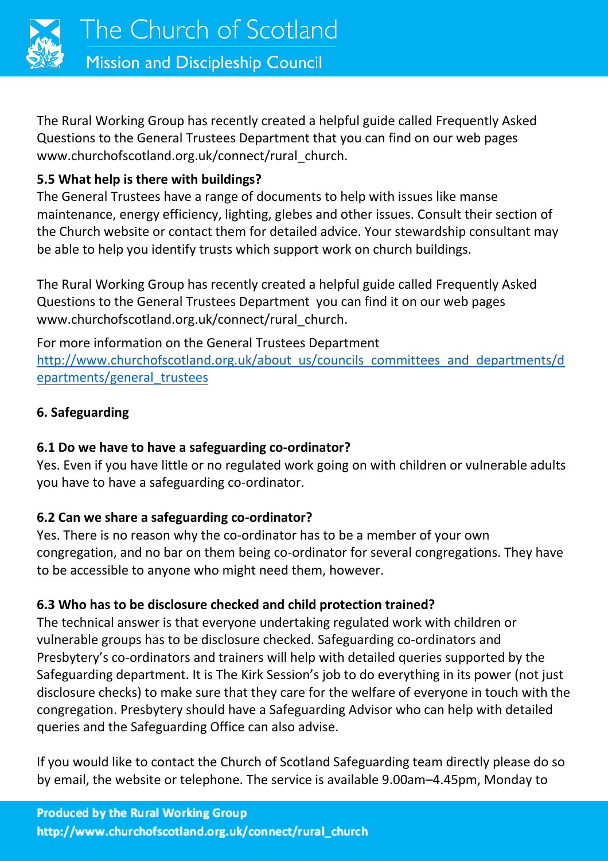

The Rural Working Group has recently created a helpful guide called Frequently Asked Questions to the General Trustees Department that you can find on our web pages www.churchofscotland.org.uk/connect/rural\_church.

# **5.5 What help is there with buildings?**

The General Trustees have a range of documents to help with issues like manse maintenance, energy efficiency, lighting, glebes and other issues. Consult their section of the Church website or contact them for detailed advice. Your stewardship consultant may be able to help you identify trusts which support work on church buildings.

The Rural Working Group has recently created a helpful guide called Frequently Asked Questions to the General Trustees Department you can find it on our web pages www.churchofscotland.org.uk/connect/rural\_church.

For more information on the General Trustees Department [http://www.churchofscotland.org.uk/about\\_us/councils\\_committees\\_and\\_departments/d](http://www.churchofscotland.org.uk/about_us/councils_committees_and_departments/departments/general_trustees) [epartments/general\\_trustees](http://www.churchofscotland.org.uk/about_us/councils_committees_and_departments/departments/general_trustees)

## **6. Safeguarding**

# **6.1 Do we have to have a safeguarding co-ordinator?**

Yes. Even if you have little or no regulated work going on with children or vulnerable adults you have to have a safeguarding co-ordinator.

# **6.2 Can we share a safeguarding co-ordinator?**

Yes. There is no reason why the co-ordinator has to be a member of your own congregation, and no bar on them being co-ordinator for several congregations. They have to be accessible to anyone who might need them, however.

# **6.3 Who has to be disclosure checked and child protection trained?**

The technical answer is that everyone undertaking regulated work with children or vulnerable groups has to be disclosure checked. Safeguarding co-ordinators and Presbytery's co-ordinators and trainers will help with detailed queries supported by the Safeguarding department. It is The Kirk Session's job to do everything in its power (not just disclosure checks) to make sure that they care for the welfare of everyone in touch with the congregation. Presbytery should have a Safeguarding Advisor who can help with detailed queries and the Safeguarding Office can also advise.

If you would like to contact the Church of Scotland Safeguarding team directly please do so by email, the website or telephone. The service is available 9.00am–4.45pm, Monday to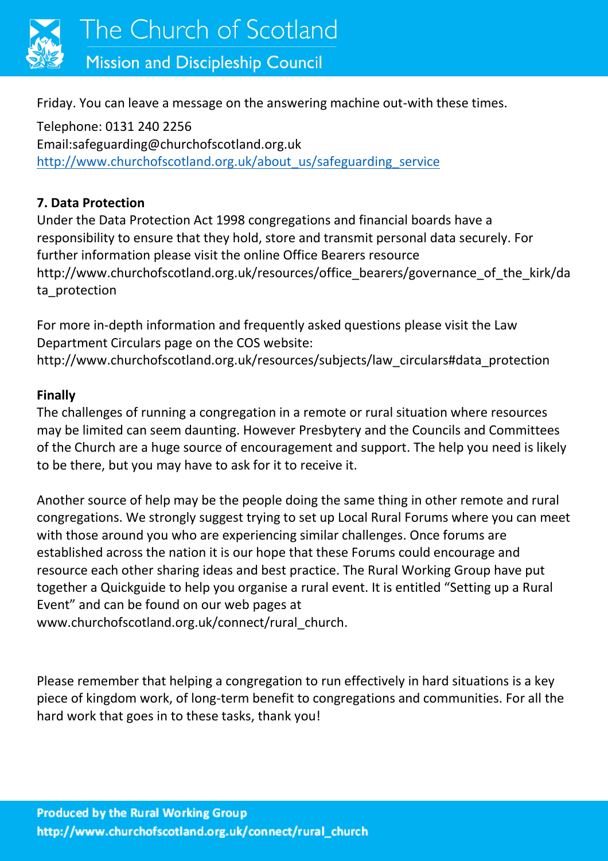

Friday. You can leave a message on the answering machine out-with these times.

Telephone: 0131 240 2256 Email:safeguarding@churchofscotland.org.uk [http://www.churchofscotland.org.uk/about\\_us/safeguarding\\_service](http://www.churchofscotland.org.uk/about_us/safeguarding_service)

#### **7. Data Protection**

Under the Data Protection Act 1998 congregations and financial boards have a responsibility to ensure that they hold, store and transmit personal data securely. For further information please visit the online Office Bearers resource http://www.churchofscotland.org.uk/resources/office\_bearers/governance\_of\_the\_kirk/da ta\_protection

For more in-depth information and frequently asked questions please visit the Law Department Circulars page on the COS website:

http://www.churchofscotland.org.uk/resources/subjects/law\_circulars#data\_protection

#### **Finally**

The challenges of running a congregation in a remote or rural situation where resources may be limited can seem daunting. However Presbytery and the Councils and Committees of the Church are a huge source of encouragement and support. The help you need is likely to be there, but you may have to ask for it to receive it.

Another source of help may be the people doing the same thing in other remote and rural congregations. We strongly suggest trying to set up Local Rural Forums where you can meet with those around you who are experiencing similar challenges. Once forums are established across the nation it is our hope that these Forums could encourage and resource each other sharing ideas and best practice. The Rural Working Group have put together a Quickguide to help you organise a rural event. It is entitled "Setting up a Rural Event" and can be found on our web pages at

www.churchofscotland.org.uk/connect/rural\_church.

Please remember that helping a congregation to run effectively in hard situations is a key piece of kingdom work, of long-term benefit to congregations and communities. For all the hard work that goes in to these tasks, thank you!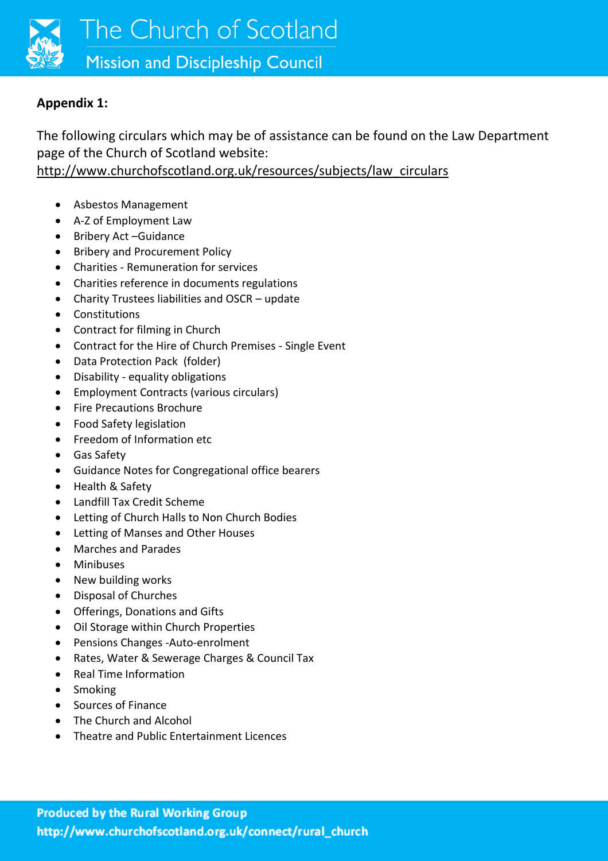

#### **Appendix 1:**

The following circulars which may be of assistance can be found on the Law Department page of the Church of Scotland website:

[http://www.churchofscotland.org.uk/resources/subjects/law\\_circulars](http://www.churchofscotland.org.uk/resources/subjects/law_circulars)

- Asbestos Management
- A-Z of Employment Law
- Bribery Act –Guidance
- Bribery and Procurement Policy
- Charities Remuneration for services
- Charities reference in documents regulations
- Charity Trustees liabilities and OSCR update
- Constitutions
- Contract for filming in Church
- Contract for the Hire of Church Premises Single Event
- Data Protection Pack (folder)
- Disability equality obligations
- Employment Contracts (various circulars)
- Fire Precautions Brochure
- Food Safety legislation
- Freedom of Information etc
- Gas Safety
- Guidance Notes for Congregational office bearers
- Health & Safety
- Landfill Tax Credit Scheme
- Letting of Church Halls to Non Church Bodies
- Letting of Manses and Other Houses
- Marches and Parades
- Minibuses
- New building works
- Disposal of Churches
- Offerings, Donations and Gifts
- Oil Storage within Church Properties
- Pensions Changes -Auto-enrolment
- Rates, Water & Sewerage Charges & Council Tax
- Real Time Information
- Smoking
- Sources of Finance
- The Church and Alcohol
- Theatre and Public Entertainment Licences